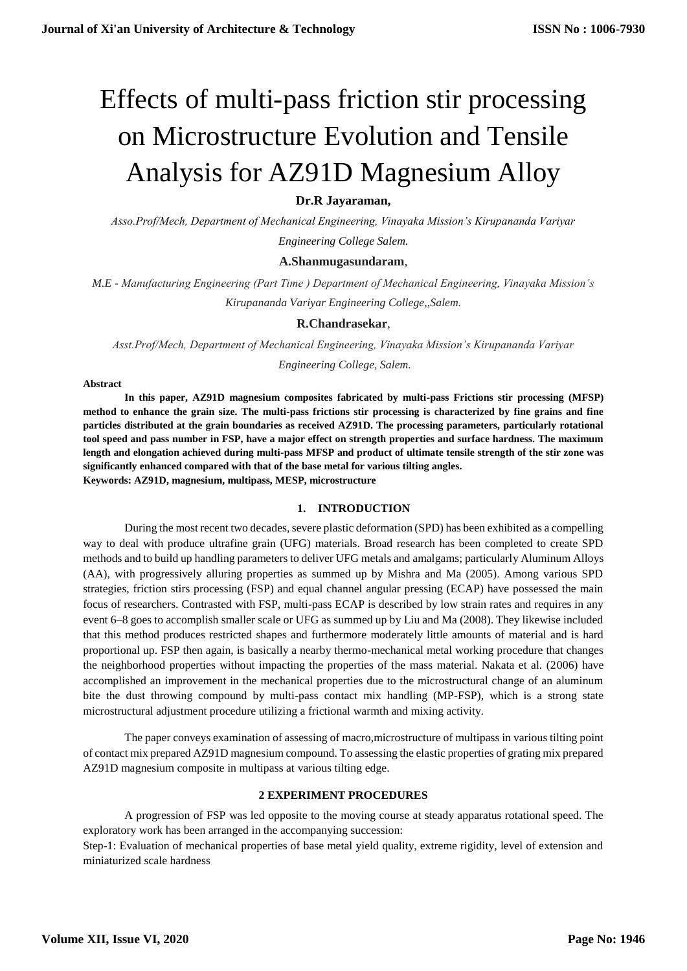# Effects of multi-pass friction stir processing on Microstructure Evolution and Tensile Analysis for AZ91D Magnesium Alloy

# **Dr.R Jayaraman,**

*Asso.Prof/Mech, Department of Mechanical Engineering, Vinayaka Mission's Kirupananda Variyar Engineering College Salem.*

# **A.Shanmugasundaram**,

*M.E - Manufacturing Engineering (Part Time ) Department of Mechanical Engineering, Vinayaka Mission's Kirupananda Variyar Engineering College,,Salem.*

# **R.Chandrasekar**,

*Asst.Prof/Mech, Department of Mechanical Engineering, Vinayaka Mission's Kirupananda Variyar Engineering College, Salem.*

#### **Abstract**

**In this paper, AZ91D magnesium composites fabricated by multi-pass Frictions stir processing (MFSP) method to enhance the grain size. The multi-pass frictions stir processing is characterized by fine grains and fine particles distributed at the grain boundaries as received AZ91D. The processing parameters, particularly rotational tool speed and pass number in FSP, have a major effect on strength properties and surface hardness. The maximum length and elongation achieved during multi-pass MFSP and product of ultimate tensile strength of the stir zone was significantly enhanced compared with that of the base metal for various tilting angles. Keywords: AZ91D, magnesium, multipass, MESP, microstructure**

#### **1. INTRODUCTION**

During the most recent two decades, severe plastic deformation (SPD) has been exhibited as a compelling way to deal with produce ultrafine grain (UFG) materials. Broad research has been completed to create SPD methods and to build up handling parameters to deliver UFG metals and amalgams; particularly Aluminum Alloys (AA), with progressively alluring properties as summed up by Mishra and Ma (2005). Among various SPD strategies, friction stirs processing (FSP) and equal channel angular pressing (ECAP) have possessed the main focus of researchers. Contrasted with FSP, multi-pass ECAP is described by low strain rates and requires in any event 6–8 goes to accomplish smaller scale or UFG as summed up by Liu and Ma (2008). They likewise included that this method produces restricted shapes and furthermore moderately little amounts of material and is hard proportional up. FSP then again, is basically a nearby thermo-mechanical metal working procedure that changes the neighborhood properties without impacting the properties of the mass material. Nakata et al. (2006) have accomplished an improvement in the mechanical properties due to the microstructural change of an aluminum bite the dust throwing compound by multi-pass contact mix handling (MP-FSP), which is a strong state microstructural adjustment procedure utilizing a frictional warmth and mixing activity.

The paper conveys examination of assessing of macro,microstructure of multipass in various tilting point of contact mix prepared AZ91D magnesium compound. To assessing the elastic properties of grating mix prepared AZ91D magnesium composite in multipass at various tilting edge.

#### **2 EXPERIMENT PROCEDURES**

A progression of FSP was led opposite to the moving course at steady apparatus rotational speed. The exploratory work has been arranged in the accompanying succession:

Step-1: Evaluation of mechanical properties of base metal yield quality, extreme rigidity, level of extension and miniaturized scale hardness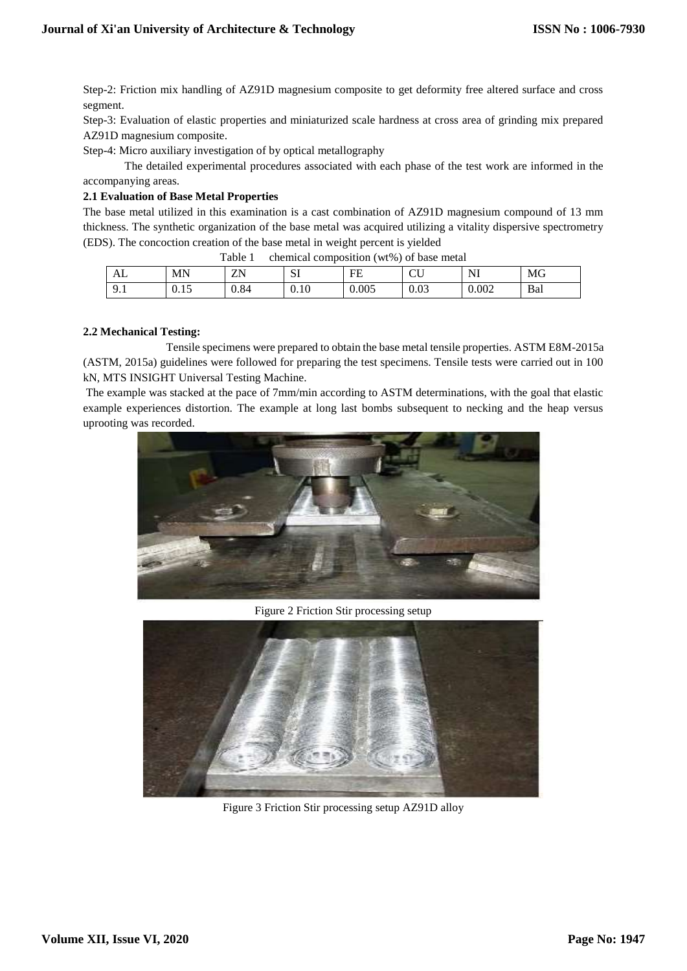Step-2: Friction mix handling of AZ91D magnesium composite to get deformity free altered surface and cross segment.

Step-3: Evaluation of elastic properties and miniaturized scale hardness at cross area of grinding mix prepared AZ91D magnesium composite.

Step-4: Micro auxiliary investigation of by optical metallography

The detailed experimental procedures associated with each phase of the test work are informed in the accompanying areas.

#### **2.1 Evaluation of Base Metal Properties**

The base metal utilized in this examination is a cast combination of AZ91D magnesium compound of 13 mm thickness. The synthetic organization of the base metal was acquired utilizing a vitality dispersive spectrometry (EDS). The concoction creation of the base metal in weight percent is yielded

| Table<br>chemical composition (wt%) of base metal |       |      |      |       |      |       |     |  |  |  |
|---------------------------------------------------|-------|------|------|-------|------|-------|-----|--|--|--|
| ΑL                                                | ΜN    | ZN   | IJΙ  | FE    |      | NI    | MG  |  |  |  |
| ,                                                 | U. LJ | 0.84 | 0.10 | 0.005 | 0.03 | 0.002 | Bal |  |  |  |

#### **2.2 Mechanical Testing:**

Tensile specimens were prepared to obtain the base metal tensile properties. ASTM E8M-2015a (ASTM, 2015a) guidelines were followed for preparing the test specimens. Tensile tests were carried out in 100 kN, MTS INSIGHT Universal Testing Machine.

The example was stacked at the pace of 7mm/min according to ASTM determinations, with the goal that elastic example experiences distortion. The example at long last bombs subsequent to necking and the heap versus uprooting was recorded.



Figure 2 Friction Stir processing setup



Figure 3 Friction Stir processing setup AZ91D alloy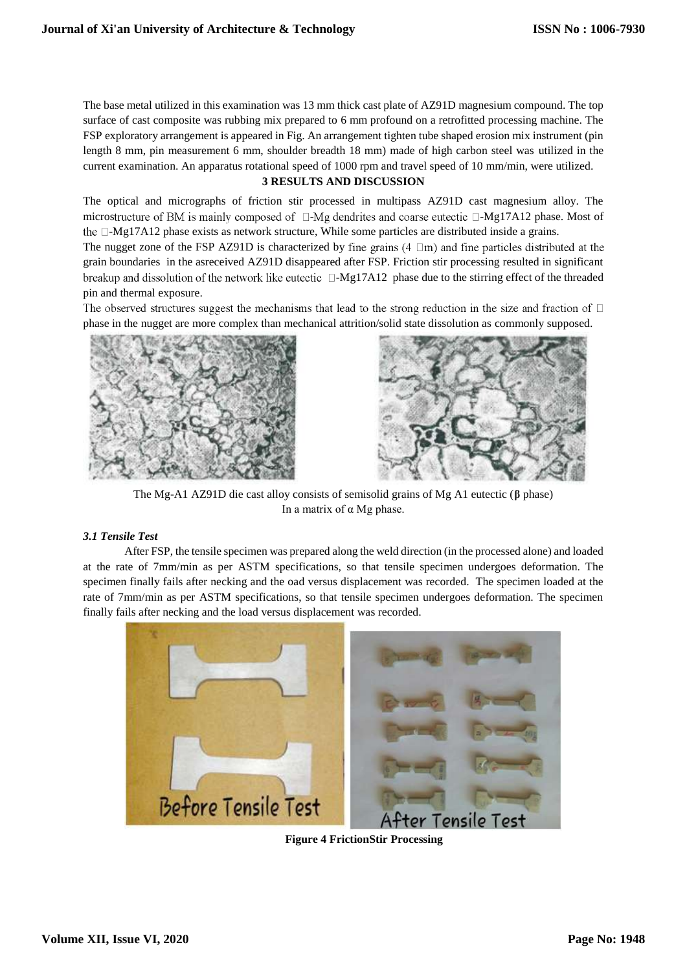The base metal utilized in this examination was 13 mm thick cast plate of AZ91D magnesium compound. The top surface of cast composite was rubbing mix prepared to 6 mm profound on a retrofitted processing machine. The FSP exploratory arrangement is appeared in Fig. An arrangement tighten tube shaped erosion mix instrument (pin length 8 mm, pin measurement 6 mm, shoulder breadth 18 mm) made of high carbon steel was utilized in the current examination. An apparatus rotational speed of 1000 rpm and travel speed of 10 mm/min, were utilized.

# **3 RESULTS AND DISCUSSION**

The optical and micrographs of friction stir processed in multipass AZ91D cast magnesium alloy. The microstructure of BM is mainly composed of  $\Box$ -Mg dendrites and coarse eutectic  $\Box$ -Mg17A12 phase. Most of the  $\Box$ -Mg17A12 phase exists as network structure, While some particles are distributed inside a grains.

The nugget zone of the FSP AZ91D is characterized by fine grains  $(4 \Box m)$  and fine particles distributed at the grain boundaries in the asreceived AZ91D disappeared after FSP. Friction stir processing resulted in significant breakup and dissolution of the network like eutectic  $\Box$ -Mg17A12 phase due to the stirring effect of the threaded pin and thermal exposure.

The observed structures suggest the mechanisms that lead to the strong reduction in the size and fraction of  $\Box$ phase in the nugget are more complex than mechanical attrition/solid state dissolution as commonly supposed.





The Mg-A1 AZ91D die cast alloy consists of semisolid grains of Mg A1 eutectic (**β** phase) In a matrix of  $\alpha$  Mg phase.

#### *3.1 Tensile Test*

After FSP, the tensile specimen was prepared along the weld direction (in the processed alone) and loaded at the rate of 7mm/min as per ASTM specifications, so that tensile specimen undergoes deformation. The specimen finally fails after necking and the oad versus displacement was recorded. The specimen loaded at the rate of 7mm/min as per ASTM specifications, so that tensile specimen undergoes deformation. The specimen finally fails after necking and the load versus displacement was recorded.



**Figure 4 FrictionStir Processing**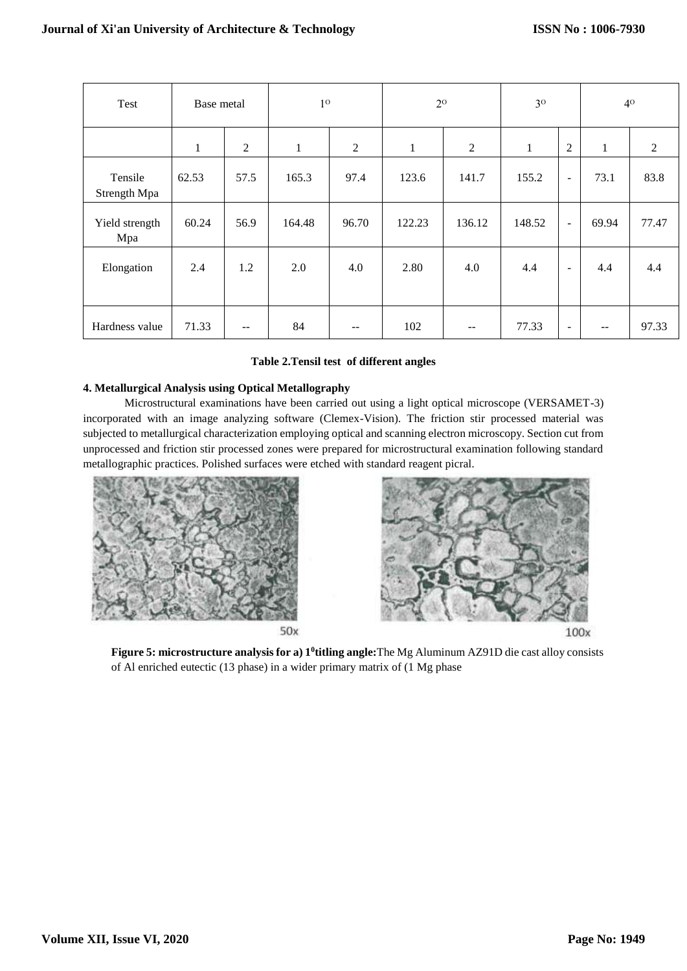|  | Test                    | Base metal |       | 1 <sup>0</sup> |                   | $2^{\rm o}$  |        | 3 <sup>0</sup> |                          | 4 <sup>0</sup> |                |
|--|-------------------------|------------|-------|----------------|-------------------|--------------|--------|----------------|--------------------------|----------------|----------------|
|  |                         | 1          | 2     | $\mathbf{1}$   | $\overline{2}$    | $\mathbf{1}$ | 2      | $\mathbf{1}$   | $\overline{2}$           | $\mathbf{1}$   | $\overline{2}$ |
|  | Tensile<br>Strength Mpa | 62.53      | 57.5  | 165.3          | 97.4              | 123.6        | 141.7  | 155.2          | $\blacksquare$           | 73.1           | 83.8           |
|  | Yield strength<br>Mpa   | 60.24      | 56.9  | 164.48         | 96.70             | 122.23       | 136.12 | 148.52         | $\blacksquare$           | 69.94          | 77.47          |
|  | Elongation              | 2.4        | 1.2   | 2.0            | 4.0               | 2.80         | 4.0    | 4.4            | $\overline{\phantom{a}}$ | 4.4            | 4.4            |
|  | Hardness value          | 71.33      | $- -$ | 84             | $\qquad \qquad -$ | 102          |        | 77.33          | $\overline{\phantom{a}}$ |                | 97.33          |

# **Table 2.Tensil test of different angles**

# **4. Metallurgical Analysis using Optical Metallography**

Microstructural examinations have been carried out using a light optical microscope (VERSAMET-3) incorporated with an image analyzing software (Clemex-Vision). The friction stir processed material was subjected to metallurgical characterization employing optical and scanning electron microscopy. Section cut from unprocessed and friction stir processed zones were prepared for microstructural examination following standard metallographic practices. Polished surfaces were etched with standard reagent picral.



50x



**Figure 5: microstructure analysis for a) 1<sup>0</sup> titling angle:**The Mg Aluminum AZ91D die cast alloy consists of Al enriched eutectic (13 phase) in a wider primary matrix of (1 Mg phase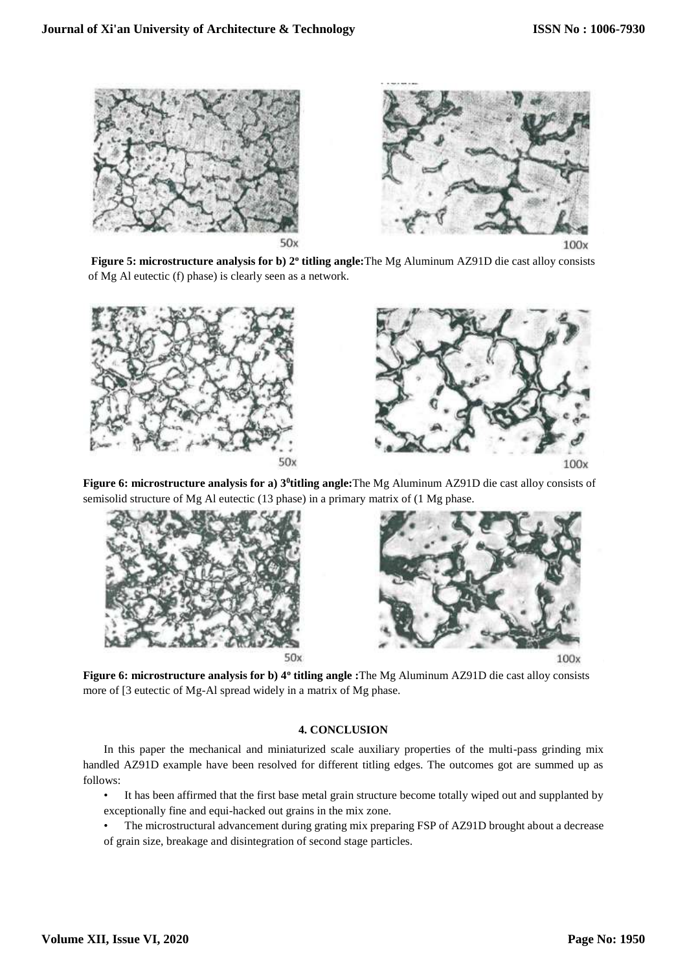

**Figure 5: microstructure analysis for b) 2<sup>o</sup> titling angle:**The Mg Aluminum AZ91D die cast alloy consists of Mg Al eutectic (f) phase) is clearly seen as a network.



**Figure 6: microstructure analysis for a) 3<sup>0</sup> titling angle:**The Mg Aluminum AZ91D die cast alloy consists of semisolid structure of Mg Al eutectic (13 phase) in a primary matrix of (1 Mg phase.



**Figure 6: microstructure analysis for b) 4<sup>o</sup> titling angle :**The Mg Aluminum AZ91D die cast alloy consists more of [3 eutectic of Mg-Al spread widely in a matrix of Mg phase.

# **4. CONCLUSION**

In this paper the mechanical and miniaturized scale auxiliary properties of the multi-pass grinding mix handled AZ91D example have been resolved for different titling edges. The outcomes got are summed up as follows:

- It has been affirmed that the first base metal grain structure become totally wiped out and supplanted by exceptionally fine and equi-hacked out grains in the mix zone.
- The microstructural advancement during grating mix preparing FSP of AZ91D brought about a decrease of grain size, breakage and disintegration of second stage particles.